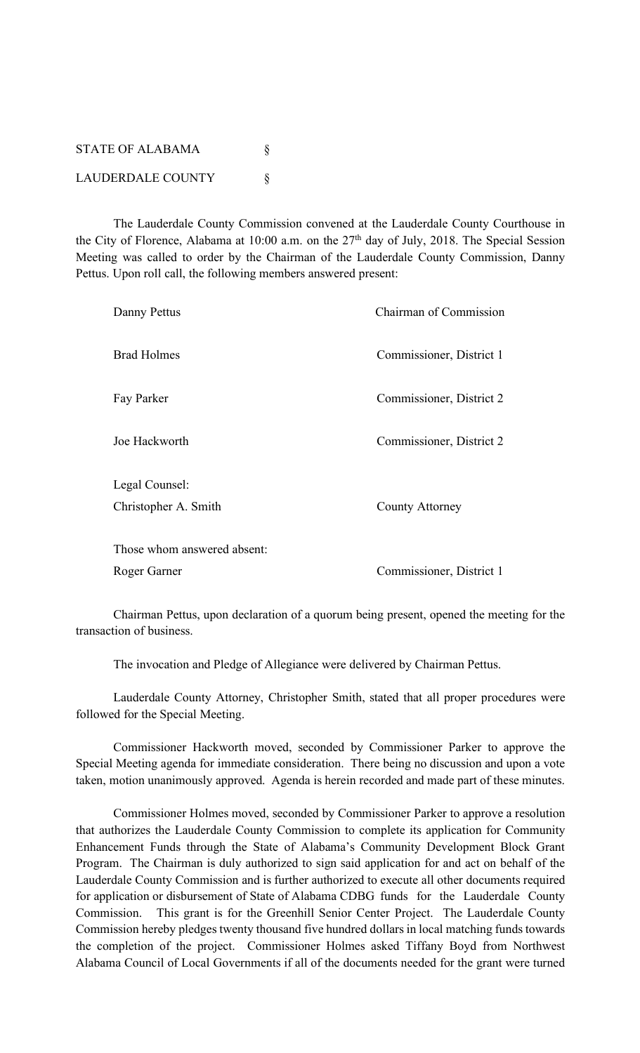| <b>STATE OF ALABAMA</b>  |  |
|--------------------------|--|
| <b>LAUDERDALE COUNTY</b> |  |

The Lauderdale County Commission convened at the Lauderdale County Courthouse in the City of Florence, Alabama at 10:00 a.m. on the  $27<sup>th</sup>$  day of July, 2018. The Special Session Meeting was called to order by the Chairman of the Lauderdale County Commission, Danny Pettus. Upon roll call, the following members answered present:

| Danny Pettus                | <b>Chairman of Commission</b> |
|-----------------------------|-------------------------------|
| <b>Brad Holmes</b>          | Commissioner, District 1      |
| Fay Parker                  | Commissioner, District 2      |
| Joe Hackworth               | Commissioner, District 2      |
| Legal Counsel:              |                               |
| Christopher A. Smith        | County Attorney               |
| Those whom answered absent: |                               |
|                             |                               |
| Roger Garner                | Commissioner, District 1      |

Chairman Pettus, upon declaration of a quorum being present, opened the meeting for the transaction of business.

The invocation and Pledge of Allegiance were delivered by Chairman Pettus.

Lauderdale County Attorney, Christopher Smith, stated that all proper procedures were followed for the Special Meeting.

Commissioner Hackworth moved, seconded by Commissioner Parker to approve the Special Meeting agenda for immediate consideration. There being no discussion and upon a vote taken, motion unanimously approved. Agenda is herein recorded and made part of these minutes.

Commissioner Holmes moved, seconded by Commissioner Parker to approve a resolution that authorizes the Lauderdale County Commission to complete its application for Community Enhancement Funds through the State of Alabama's Community Development Block Grant Program. The Chairman is duly authorized to sign said application for and act on behalf of the Lauderdale County Commission and is further authorized to execute all other documents required for application or disbursement of State of Alabama CDBG funds for the Lauderdale County Commission. This grant is for the Greenhill Senior Center Project. The Lauderdale County Commission hereby pledges twenty thousand five hundred dollars in local matching funds towards the completion of the project. Commissioner Holmes asked Tiffany Boyd from Northwest Alabama Council of Local Governments if all of the documents needed for the grant were turned